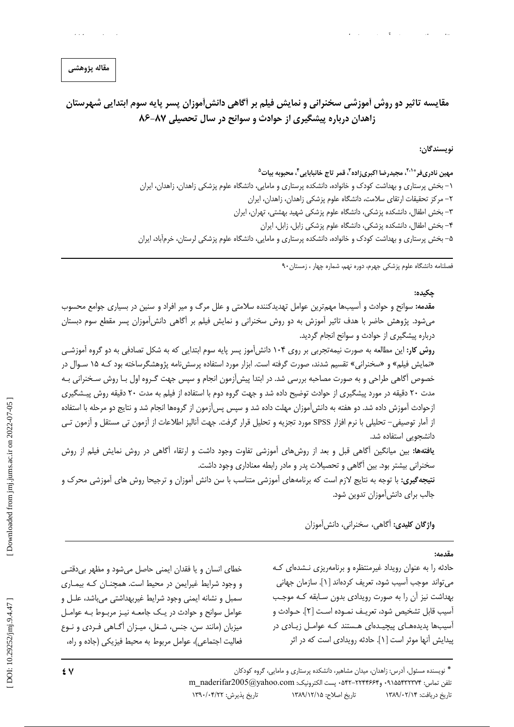# مقايسه تاثير دو روش أموزشي سخنراني و نمايش فيلم بر أكاهي دانش[موزان پسر پايه سوم ابتدايي شهرستان زاهدان درباره پیشگیری از حوادث و سوانح در سال تحصیلی ۸۷-۸۶

نويسندگان:

مهين نادريفر<sup>ه ۲۰۱</sup>، مجيدرضا اكبري;اده<sup>۳</sup>، قمر تاج خانبابايي<sup>۴</sup>، محبوبه بيات<sup>۵</sup> ۱– بخش پرستاری و بهداشت کودک و خانواده، دانشکده پرستاری و مامایی، دانشگاه علوم پزشکی زاهدان، زاهدان، ایران ٢- مركز تحقيقات ارتقاى سلامت، دانشگاه علوم پزشكى زاهدان، زاهدان، ايران ۳- بخش اطفال، دانشکده پزشکی، دانشگاه علوم پزشکی شهید بهشتی، تهران، ایران ۴- بخش اطفال، دانشکده پزشکی، دانشگاه علوم پزشکی زابل، زابل، ایران ۵– بخش پرستاری و بهداشت کودک و خانواده، دانشکده پرستاری و مامایی، دانشگاه علوم پزشکی لرستان، خرمآباد، ایران

فصلنامه دانشگاه علوم پزشکی جهرم، دوره نهم، شماره چهار ، زمستان ۹۰

#### حكىدە:

مقدمه: سوانح و حوادث و آسیبها مهمترین عوامل تهدیدکننده سلامتی و علل مرگ و میر افراد و سنین در بسیاری جوامع محسوب میشود. پژوهش حاضر با هدف تاثیر آموزش به دو روش سخنرانی و نمایش فیلم بر آگاهی دانش[موزان پسر مقطع سوم دبستان درباره پیشگیری از حوادث و سوانح انجام گردید.

**روش کار:** این مطالعه به صورت نیمهتجربی بر روی ۱۰۴ دانش آموز پسر پایه سوم ابتدایی که به شکل تصادفی به دو گروه آموزشی «نمایش فیلم» و «سخنرانی» تقسیم شدند، صورت گرفته است. ابزار مورد استفاده پرسشiمه پژوهشگرساخته بود کـه ۱۵ سـوال در خصوص أگاهي طراحي و به صورت مصاحبه بررسي شد. در ابتدا پيش[زمون انجام و سپس جهت گـروه اول بـا روش سـخنراني بـه مدت ۲۰ دقیقه در مورد پیشگیری از حوادث توضیح داده شد و جهت گروه دوم با استفاده از فیلم به مدت ۲۰ دقیقه روش پیشگیری ازحوادث آموزش داده شد. دو هفته به دانش[موزان مهلت داده شد و سپس پس[زمون از گروهها انجام شد و نتايج دو مرحله با استفاده از آمار توصیفی– تحلیلی با نرم افزار SPSS مورد تجزیه و تحلیل قرار گرفت. جهت آنالیز اطلاعات از آزمون تی مستقل و آزمون تـی دانشجویے استفادہ شد.

**یافتهها:** بین میانگین اًگاهی قبل و بعد از روشهای آموزشی تفاوت وجود داشت و ارتقاء اَگاهی در روش نمایش فیلم از روش سخنرانی بیشتر بود. بین آگاهی و تحصیلات پدر و مادر رابطه معناداری وجود داشت.

**نتیجه گیری:** با توجه به نتایج لازم است که برنامههای آموزشی متناسب با سن دانش آموزان و ترجیحا روش های آموزشی محرک و جالب برای دانش[موزان تدوین شود.

واژگان کلیدی: آگاهی، سخنرانی، دانش آموزان

#### مقدمه:

حادثه را به عنوان رویداد غیرمنتظره و برنامهریزی نشدهای که می تواند موجب آسیب شود، تعریف کردهاند [۱]. سازمان جهانی بهداشت نیز آن را به صورت رویدادی بدون سـابقه کـه موجـب آسيب قابل تشخيص شود، تعريـف نمـوده اسـت [٢]. حـوادث و آسیبها پدیدههای پیچیدهای هستند که عوامل زیادی در پیدایش آنها موثر است [۱]. حادثه رویدادی است که در اثر

خطای انسان و یا فقدان ایمنی حاصل میشود و مظهر بی دقتبی و وجود شرایط غیرایمن در محیط است. همچنــان کــه بیمــاری سمبل و نشانه ايمني وجود شرايط غيربهداشتي مي باشد، علـل و عوامل سوانح و حوادث در یک جامعـه نیـز مربـوط بـه عوامـل میزبان (مانند سن، جنس، شـغل، میـزان آگـاهی فـردی و نـوع فعالیت اجتماعی)، عوامل مربوط به محیط فیزیکی (جاده و راه،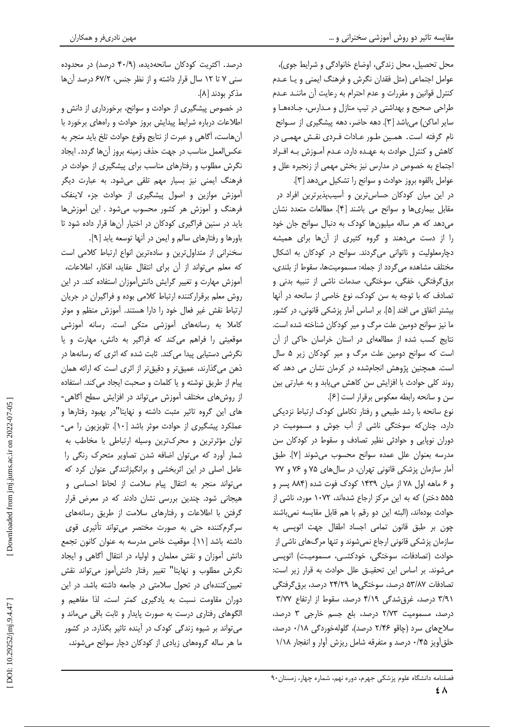محل تحصیل، محل زندگی، اوضاع خانوادگی و شرایط جوی)، عوامل اجتماعي (مثل فقدان نگرش و فرهنگ ايمني و يـا عـدم كنترل قوانين و مقررات و عدم احترام به رعايت آن ماننـد عـدم طراحی صحیح و بهداشتی در تیپ منازل و مدارس، جـادههـا و سایر اماکن) میباشد [۳]. دهه حاضر، دهه پیشگیری از سـوانح نام گرفته است. همین طور عـادات فـردی نقـش مهمـی در كاهش و كنترل حوادث به عهـده دارد، عـدم آمـوزش بـه افـراد اجتماع به خصوص در مدارس نیز بخش مهمی از زنجیره علل و عوامل بالقوه بروز حوادث و سوانح را تشكيل مى دهد [٣].

در این میان کودکان حساس ترین و آسیبپذیرترین افراد در مقابل بيماري ها و سوانح مي باشند [۴]. مطالعات متعدد نشان می دهد که هر ساله میلیون ها کودک به دنبال سوانح جان خود را از دست میدهند و گروه کثیری از آنها برای همیشه دچارمعلولیت و ناتوانی میگردند. سوانح در کودکان به اشکال مختلف مشاهده می گردد از جمله: مسمومیتها، سقوط از بلندی، برق گرفتگی، خفگی، سوختگی، صدمات ناشی از تنبیه بدنی و تصادف كه با توجه به سن كودك، نوع خاصى از سانحه در آنها بیشتر اتفاق می افتد [۵]. بر اساس آمار پزشکی قانونی، در کشور ما نیز سوانح دومین علت مرگ و میر کودکان شناخته شده است. نتایج کسب شده از مطالعهای در استان خراسان حاکی از آن است که سوانح دومین علت مرگ و میر کودکان زیر ۵ سال است. همچنین پژوهش انجامشده در کرمان نشان می دهد که روند كلي حوادث با افزايش سن كاهش مي يابد و به عبارتي بين سن و سانحه رابطه معکوس برقرار است [۶].

نوع سانحه با رشد طبیعی و رفتار تکاملی کودک ارتباط نزدیکی دارد، چنان که سوختگی ناشی از آب جوش و مسمومیت در دوران نوپایی و حوادثی نظیر تصادف و سقوط در کودکان سن مدرسه بعنوان علل عمده سوانح محسوب مى شوند [٧]. طبق آمار سازمان پزشکی قانونی تهران، در سالهای ۷۵ و ۷۶ و ۷۷ و ۶ ماهه اول ۷۸ از میان ۱۴۳۹ کودک فوت شده (۸۸۴ پسر و ۵۵۵ دختر) که به این مرکز ارجاع شدهاند، ۱۰۷۲ مورد، ناشی از حوادث بودهاند، (البته این دو رقم با هم قابل مقایسه نمیباشند چون بر طبق قانون تمامی اجساد اطفال جهت اتوپسی به سازمان پزشکی قانونی ارجاع نمیشوند و تنها مرگهای ناشی از حوادث (تصادفات، سوختگی، خودکشـی، مسمومیـت) اتوپسی می شوند. بر اساس این تحقیـق علل حوادث به قرار زیر است: تصادفات ۵۳/۸۷ درصد، سوختگیها ۲۴/۲۹ درصد، برق گرفتگی ۳/۹۱ درصد، غرق شدگی ۴/۱۹ درصد، سقوط از ارتفاع ۳/۷۷ درصد، مسمومیت ٢/٧٣ درصد، بلع جسم خارجی ٣ درصد، سلاحهای سرد (چاقو ۲/۴۶ درصد)، گلولهخوردگی ۰/۱۸ درصد، حلق آویز ۰/۴۵ درصد و متفرقه شامل ریزش آوار و انفجار ۱/۱۸

درصد. اکثریت کودکان سانحهدیده، (۴۰/۹ درصد) در محدوده سنی ۷ تا ۱۲ سال قرار داشته و از نظر جنس، ۶۷/۲ درصد آنها مذكر بودند [٨].

در خصوص پیشگیری از حوادث و سوانح، برخورداری از دانش و اطلاعات درباره شرایط پیدایش بروز حوادث و راههای برخورد با آنهاست، آگاهی و عبرت از نتایج وقوع حوادث تلخ باید منجر به عكس|لعمل مناسب در جهت حذف زمينه بروز آنها گردد. ايجاد نگرش مطلوب و رفتارهای مناسب برای پیشگیری از حوادث در فرهنگ ایمنی نیز بسیار مهم تلقی میشود. به عبارت دیگر آموزش موازین و اصول پیشگیری از حوادث جزء لاینفک فرهنگ و آموزش هر کشور محسوب میشود . این آموزش ها باید در سنین فراگیری کودکان در اختیار آنها قرار داده شود تا باورها و رفتارهای سالم و ایمن در آنها توسعه یابد [۹].

سخنرانی از متداول ترین و سادهترین انواع ارتباط کلامی است كه معلم مىتواند از آن براى انتقال عقايد، افكار، اطلاعات، آموزش مهارت و تغییر گرایش دانش آموزان استفاده کند. در این روش معلم برقراركننده ارتباط كلامى بوده و فراگيران در جريان ارتباط نقش غیر فعال خود را دارا هستند. آموزش منظم و موثر كاملا به رسانههاى آموزشى متكى است. رسانه آموزشى موقعیتی را فراهم میکند که فراگیر به دانش، مهارت و یا نگرشی دستیابی پیدا میکند. ثابت شده که اثری که رسانهها در ذهن میگذارند، عمیقتر و دقیقتر از اثری است که ارائه همان پیام از طریق نوشته و یا کلمات و صحبت ایجاد می کند. استفاده از روشهای مختلف آموزش می تواند در افزایش سطح آگاهی-های این گروه تاثیر مثبت داشته و نهایتا"در بهبود رفتارها و عملکرد پیشگیری از حوادث موثر باشد [۱۰]. تلویزیون را می-توان مؤثرترین و محرکترین وسیله ارتباطی با مخاطب به شمار آورد که می توان اضافه شدن تصاویر متحرک رنگی را عامل اصلی در این اثربخشی و برانگیزانندگی عنوان کرد که می تواند منجر به انتقال پیام سلامت از لحاظ احساسی و هیجانی شود. چندین بررسی نشان دادند که در معرض قرار گرفتن با اطلاعات و رفتارهای سلامت از طریق رسانههای سرگرم کننده حتی به صورت مختصر می تواند تأثیری قوی داشته باشد [١١]. موقعیت خاص مدرسه به عنوان كانون تجمع دانش آموزان و نقش معلمان و اولياء در انتقال آگاهي و ايجاد نگرش مطلوب و نهایتا" تغییر رفتار دانشآموز میتواند نقش تعیین کنندهای در تحول سلامتی در جامعه داشته باشد. در این دوران مقاومت نسبت به یادگیری کمتر است، لذا مفاهیم و الگوهای رفتاری درست به صورت پایدار و ثابت باقی می ماند و می تواند بر شیوه زندگی کودک در آینده تاثیر بگذارد. در کشور ما هر ساله گروههای زیادی از کودکان دچار سوانح می شوند،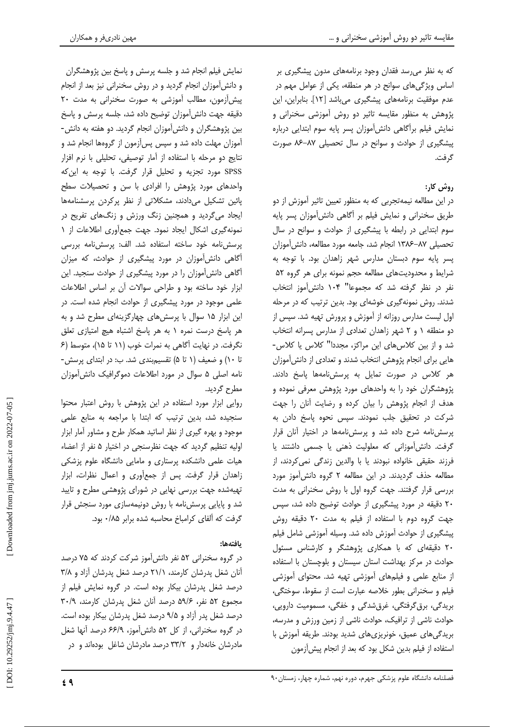که به نظر می رسد فقدان وجود برنامههای مدون پیشگیری بر اساس ویژگیهای سوانح در هر منطقه، یکی از عوامل مهم در عدم موفقیت برنامههای پیشگیری میباشد [۱۲]. بنابراین، این پژوهش به منظور مقایسه تاثیر دو روش آموزشی سخنرانی و نمایش فیلم برآگاهی دانش آموزان پسر پایه سوم ابتدایی درباره ییشگیری از حوادث و سوانح در سال تحصیلی ۸۷-۸۶ صورت گ فت.

## روش کار:

در این مطالعه نیمهتجربی که به منظور تعیین تاثیر آموزش از دو طریق سخنرانی و نمایش فیلم بر آگاهی دانش آموزان پسر پایه سوم ابتدایی در رابطه با پیشگیری از حوادث و سوانح در سال تحصيلي ٨٧–١٣٨۶ انجام شد، جامعه مورد مطالعه، دانش آموزان پسر پایه سوم دبستان مدارس شهر زاهدان بود. با توجه به شرایط و محدودیتهای مطالعه حجم نمونه برای هر گروه ۵۲ نفر در نظر گرفته شد که مجموعا" ۱۰۴ دانش آموز انتخاب شدند. روش نمونهگیری خوشهای بود. بدین ترتیب که در مرحله اول لیست مدارس روزانه از آموزش و پرورش تهیه شد. سپس از دو منطقه ١ و ٢ شهر زاهدان تعدادى از مدارس پسرانه انتخاب شد و از بین کلاس های این مراکز، مجددا" کلاس یا کلاس-هایی برای انجام پژوهش انتخاب شدند و تعدادی از دانشآموزان هر كلاس در صورت تمايل به پرسش نامهها ياسخ دادند. پژوهشگران خود را به واحدهای مورد پژوهش معرفی نموده و هدف از انجام پژوهش را بیان کرده و رضایت آنان را جهت شركت در تحقيق جلب نمودند. سپس نحوه پاسخ دادن به پرسش نامه شرح داده شد و پرسش نامهها در اختیار آنان قرار گرفت. دانش آموزانی که معلولیت ذهنی یا جسمی داشتند یا فرزند حقیقی خانواده نبودند یا با والدین زندگی نمی کردند، از مطالعه حذف گردیدند. در این مطالعه ۲ گروه دانشآموز مورد بررسی قرار گرفتند. جهت گروه اول با روش سخنرانی به مدت ۲۰ دقیقه در مورد پیشگیری از حوادث توضیح داده شد، سپس جهت گروه دوم با استفاده از فیلم به مدت ٢٠ دقیقه روش پیشگیری از حوادث آموزش داده شد. وسیله آموزشی شامل فیلم ۲۰ دقیقهای که با همکاری پژوهشگر و کارشناس مسئول حوادث در مرکز بهداشت استان سیستان و بلوچستان با استفاده از منابع علمی و فیلمهای آموزشی تهیه شد. محتوای آموزشی فيلم و سخنراني بطور خلاصه عبارت است از سقوط، سوختگي، بریدگی، برق گرفتگی، غرقشدگی و خفگی، مسمومیت دارویی، حوادث ناشی از ترافیک، حوادث ناشی از زمین ورزش و مدرسه، بریدگیهای عمیق، خونریزیهای شدید بودند. طریقه آموزش با استفاده از فیلم بدین شکل بود که بعد از انجام پیش آزمون

نمايش فيلم انجام شد و جلسه پرسش و پاسخ بين پژوهشگران و دانش آموزان انجام گردید و در روش سخنرانی نیز بعد از انجام پیش آزمون، مطالب آموزشی به صورت سخنرانی به مدت ۲۰ دقیقه جهت دانش آموزان توضیح داده شد، جلسه پرسش و پاسخ بین پژوهشگران و دانش آموزان انجام گردید. دو هفته به دانش-آموزان مهلت داده شد و سپس پسآزمون از گروهها انجام شد و نتايج دو مرحله با استفاده از آمار توصيفي، تحليلي با نرم افزار SPSS مورد تجزیه و تحلیل قرار گرفت. با توجه به این که واحدهای مورد پژوهش را افرادی با سن و تحصیلات سطح پائین تشکیل میدادند، مشکلاتی از نظر پرکردن پرسشنامهها ایجاد میگردید و همچنین زنگ ورزش و زنگهای تفریح در نمونهگیری اشکال ایجاد نمود. جهت جمعآوری اطلاعات از ١ یرسش،نامه خود ساخته استفاده شد. الف: پرسش،نامه بررسی آگاهی دانشآموزان در مورد پیشگیری از حوادث، که میزان آگاهی دانشآموزان را در مورد پیشگیری از حوادث سنجید. این ابزار خود ساخته بود و طراحی سوالات آن بر اساس اطلاعات علمی موجود در مورد پیشگیری از حوادث انجام شده است. در این ابزار ۱۵ سوال با پرسش های چهارگزینهای مطرح شد و به هر پاسخ درست نمره ١ به هر پاسخ اشتباه هیچ امتیازی تعلق نگرفت. در نهایت آگاهی به نمرات خوب (۱۱ تا ۱۵)، متوسط (۶ تا ١٠) وضعيف (١ تا ۵) تقسيم بندى شد. ب: در ابتداى پرسش-نامه اصلی ۵ سوال در مورد اطلاعات دموگرافیک دانش آموزان مطرح گردید.

روایی ابزار مورد استفاده در این پژوهش با روش اعتبار محتوا سنجیده شد، بدین ترتیب که ابتدا با مراجعه به منابع علمی موجود و بهره گیری از نظر اساتید همکار طرح و مشاور آمار ابزار اولیه تنظیم گردید که جهت نظرسنجی در اختیار ۵ نفر از اعضاء هیات علمی دانشکده پرستاری و مامایی دانشگاه علوم پزشکی زاهدان قرار گرفت. پس از جمعآوری و اعمال نظرات، ابزار تهیهشده جهت بررسی نهایی در شورای پژوهشی مطرح و تایید شد و پایایی پرسشنامه با روش دونیمهسازی مورد سنجش قرار گرفت که آلفای کرامباخ محاسبه شده برابر ۰/۸۵ بود.

## يافتهها:

در گروه سخنرانی ۵۲ نفر دانش آموز شرکت کردند که ۷۵ درصد آنان شغل پدرشان کارمند، ۲۱/۱ درصد شغل پدرشان آزاد و ۳/۸ درصد شغل پدرشان بیکار بوده است. در گروه نمایش فیلم از مجموع ۵۲ نفر، ۵۹/۶ درصد آنان شغل پدرشان کارمند، ۳۰/۹ درصد شغل پدر آزاد و ۹/۵ درصد شغل پدرشان بیکار بوده است. در گروه سخنرانی، از کل ۵۲ دانشآموز، ۶۶/۹ درصد آنها شغل مادرشان خانهدار و ۳۳/۲ درصد مادرشان شاغل بودهاند و در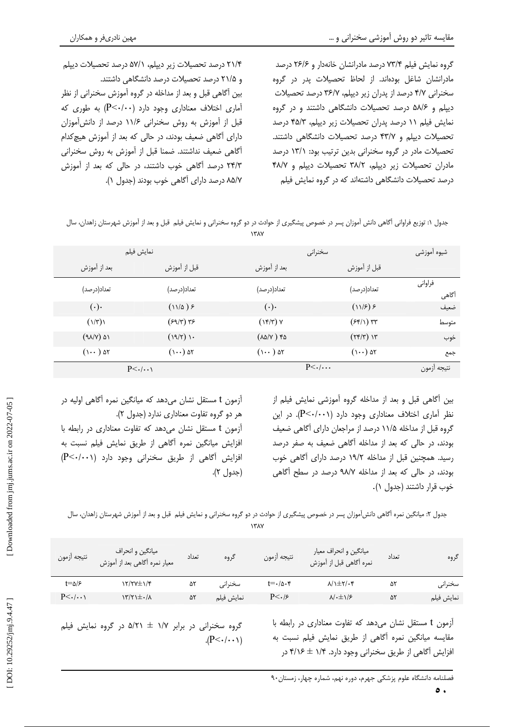گروه نمایش فیلم ۷۳/۴ درصد مادرانشان خانهدار و ۲۶/۶ درصد مادرانشان شاغل بودهاند. از لحاظ تحصیلات پدر در گروه سخنرانی ۴/۷ درصد از پدران زیر دیپلم، ۳۶/۷ درصد تحصیلات دیپلم و ۵۸/۶ درصد تحصیلات دانشگاهی داشتند و در گروه نمایش فیلم ١١ درصد پدران تحصیلات زیر دیپلم، ۴۵/۳ درصد تحصیلات دیپلم و ۴۳/۷ درصد تحصیلات دانشگاهی داشتند. تحصیلات مادر در گروه سخنرانی بدین ترتیب بود: ۱۳/۱ درصد مادران تحصیلات زیر دیپلم، ۳۸/۲ تحصیلات دیپلم و ۴۸/۷ درصد تحصیلات دانشگاهی داشتهاند که در گروه نمایش فیلم

۲۱/۴ درصد تحصیلات زیر دیپلم، ۵۷/۱ درصد تحصیلات دیپلم و ۲۱/۵ درصد تحصیلات درصد دانشگاهی داشتند. بین آگاهی قبل و بعد از مداخله در گروه آموزش سخنرانی از نظر آماری اختلاف معناداری وجود دارد (P<۰/۰۰) به طوری که قبل از آموزش به روش سخنرانی ۱۱/۶ درصد از دانشآموزان دارای آگاهی ضعیف بودند، در حالی که بعد از آموزش هیچ کدام آگاهی ضعیف نداشتند. ضمنا قبل از آموزش به روش سخنرانی ۲۴/۳ درصد آگاهی خوب داشتند، در حالی که بعد از آموزش ٨۵/٧ درصد دارای آگاهی خوب بودند (جدول ١).

| جدول ۱: توزیع فراوانی أگاهی دانش آموزان پسر در خصوص پیشگیری از حوادث در دو گروه سخنرانی و نمایش فیلم  قبل و بعد از آموزش شهرستان زاهدان، سال |  |  |  |
|----------------------------------------------------------------------------------------------------------------------------------------------|--|--|--|
|                                                                                                                                              |  |  |  |

| شيوه أموزشي      |                                      | سخنرانى                 | نمايش فيلم           |                           |
|------------------|--------------------------------------|-------------------------|----------------------|---------------------------|
|                  | قبل از آموزش                         | بعد از آموزش            | قبل از آموزش         | بعد از آموزش              |
| فراواني<br>أگاهى | تعداد(درصد)                          | تعداد(درصد)             | تعداد(درصد)          | تعداد(درصد)               |
| ضعيف             | (115)                                | $(\cdot)$               | (11/a)               | $(\cdot)$                 |
| متوسط            | $(Ff\wedge)$ $\forall$ r             | $(\lambda f/\tau)$ Y    | $(59/7)$ ٣۶          | $(\frac{\gamma}{\gamma})$ |
| خوب              | $(\Upsilon f/\Upsilon)$ ) $\Upsilon$ | $(\lambda \Delta/V)$ ۴۵ | (19/7)               | $(9\lambda/V)$ ۵۱         |
| جمع              | $(\cdots)$ ۵۲                        | $($ ۱۰۰) ۵۲             | $(\cdots)$ ۵۲        | $($ ۱۰۰) ۵۲               |
| نتيجه أزمون      |                                      | $P<\cdot/\cdot\cdot$    | $P<\cdot/\cdot\cdot$ |                           |

بین آگاهی قبل و بعد از مداخله گروه آموزشی نمایش فیلم از نظر آماری اختلاف معناداری وجود دارد (P<۰/۰۰۱). در این گروه قبل از مداخله ۱۱/۵ درصد از مراجعان دارای آگاهی ضعیف بودند، در حالی که بعد از مداخله آگاهی ضعیف به صفر درصد رسید. همچنین قبل از مداخله ۱۹/۲ درصد دارای آگاهی خوب بودند، در حالی که بعد از مداخله ۹۸/۷ درصد در سطح آگاهی خوب قرار داشتند (جدول ۱).

آزمون t مستقل نشان میدهد که میانگین نمره آگاهی اولیه در هر دو گروه تفاوت معناداری ندارد (جدول ۲).

آزمون t مستقل نشان می دهد که تفاوت معناداری در رابطه با افزایش میانگین نمره أگاهی از طریق نمایش فیلم نسبت به  $\left(P<\cdot/\cdot\cdot\right)$  افزایش آگاهی از طریق سخنرانی وجود دارد (جدول ٢).

جدول ۲: میانگین نمره آگاهی دانش آموزان پسر در خصوص پیشگیری از حوادث در دو گروه سخنرانی و نمایش فیلم قبل و بعد از آموزش شهرستان زاهدان، سال

| نتيجه أزمون              | ميانگين و انحراف<br>  معيار نمره أگاهي بعد از آموزش | تعداد | گروه       | نتيجه أزمون  | میانگین و انحراف معیار<br>نمره آگاهی قبل از آموزش | تعداد | گروه       |
|--------------------------|-----------------------------------------------------|-------|------------|--------------|---------------------------------------------------|-------|------------|
| $t = \Delta/\mathcal{F}$ | <b>۱۲/۲۷±۱/۴</b>                                    | ۵٢    | سخنرانے    | t=•/۵۰۴      | $\lambda/\lambda \pm \gamma/\cdot$ ۴              | ۵۲    | سخنراني    |
| $P<\cdot/\cdot\cdot$     | $\lambda\$ + $\pm\tau$                              | 55    | نمايش فيلم | $P<\cdot$ /۶ | $\lambda$ / $\cdot \pm \lambda$ /۶                | 57    | نمايش فيلم |

آزمون t مستقل نشان میدهد که تفاوت معناداری در رابطه با مقايسه ميانگين نمره أگاهي از طريق نمايش فيلم نسبت به افزایش آگاهی از طریق سخنرانی وجود دارد. ۱/۴ ± ۴/۱۶ در

گروه سخنرانی در برابر ۱/۷ ± ۵/۲۱ در گروه نمایش فیلم  $(P<\cdot/\cdot\cdot)$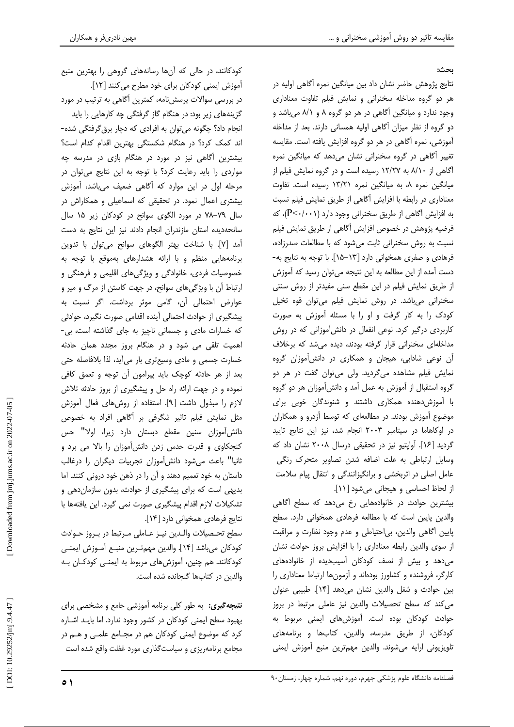ىحث:

نتایج پژوهش حاضر نشان داد بین میانگین نمره آگاهی اولیه در هر دو گروه مداخله سخنرانی و نمایش فیلم تفاوت معناداری وجود ندارد و میانگین آگاهی در هر دو گروه ۸ و ۸/۱ میباشد و دو گروه از نظر میزان آگاهی اولیه همسانی دارند. بعد از مداخله آموزشی، نمره آگاهی در هر دو گروه افزایش یافته است. مقایسه تغییر آگاهی در گروه سخنرانی نشان می دهد که میانگین نمره آگاهی از ۸/۱۰ به ۱۲/۲۷ رسیده است و در گروه نمایش فیلم از میانگین نمره ۸، به میانگین نمره ۱۳/۲۱ رسیده است. تفاوت معناداری در رابطه با افزایش آگاهی از طریق نمایش فیلم نسبت به افزایش آگاهی از طریق سخنرانی وجود دارد (P<۰/۰۰۱)، که فرضيه پژوهش در خصوص افزايش أگاهي از طريق نمايش فيلم نسبت به روش سخنرانی ثابت می شود که با مطالعات صدرزاده، فرهادی و صفری همخوانی دارد [١٣-١۵]. با توجه به نتایج به-دست آمده از این مطالعه به این نتیجه میتوان رسید که آموزش از طریق نمایش فیلم در این مقطع سنی مفیدتر از روش سنتی سخنرانی می باشد. در روش نمایش فیلم می توان قوه تخیل کودک را به کار گرفت و او را با مسئله آموزش به صورت کاربردی درگیر کرد. نوعی انفعال در دانشآموزانی که در روش مداخلهای سخنرانی قرار گرفته بودند، دیده می شد که برخلاف آن نوعی شادابی، هیجان و همکاری در دانش آموزان گروه نمایش فیلم مشاهده میگردید. ولی میتوان گفت در هر دو گروه استقبال از آموزش به عمل آمد و دانشآموزان هر دو گروه با آموزش دهنده همکاری داشتند و شنوندگان خوبی برای موضوع آموزش بودند. در مطالعهای که توسط آزدرو و همکاران در اوكاهاما در سپتامبر ٢٠٠٣ انجام شد، نيز اين نتايج تاييد گردید [۱۶]. آواپتیو نیز در تحقیقی درسال ۲۰۰۸ نشان داد که وسایل ارتباطی به علت اضافه شدن تصاویر متحرک رنگی عامل اصلی در اثربخشی و برانگیزانندگی و انتقال پیام سلامت از لحاظ احساسی و هیجانی می شود [ ١١].

بیشترین حوادث در خانوادههایی رخ میدهد که سطح آگاهی والدین پایین است که با مطالعه فرهادی همخوانی دارد. سطح پایین أگاهی والدین، بی|حتیاطی و عدم وجود نظارت و مراقبت از سوی والدین رابطه معناداری را با افزایش بروز حوادث نشان میدهد و بیش از نصف کودکان آسیبدیده از خانوادههای کارگر، فروشنده و کشاورز بودهاند و آزمونها ارتباط معناداری را بين حوادث و شغل والدين نشان مى دهد [١۴]. طبيبي عنوان می کند که سطح تحصیلات والدین نیز عاملی مرتبط در بروز حوادث کودکان بوده است. آموزشهای ایمنی مربوط به كودكان، از طريق مدرسه، والدين، كتابها و برنامههاى تلويزيوني ارايه مى شوند. والدين مهم ترين منبع أموزش ايمنى

کودکانند، در حالی که آنها رسانههای گروهی را بهترین منبع أموزش ايمني كودكان براي خود مطرح مي كنند [١٢]. در بررسی سوالات پرسش،نامه، کمترین آگاهی به ترتیب در مورد گزینههای زیر بود: در هنگام گاز گرفتگی چه کارهایی را باید انجام داد؟ چگونه می توان به افرادی که دچار برق گرفتگی شده-اند کمک کرد؟ در هنگام شکستگی بهترین اقدام کدام است؟ بیشترین آگاهی نیز در مورد در هنگام بازی در مدرسه چه مواردی را باید رعایت کرد؟ با توجه به این نتایج میتوان در مرحله اول در این موارد که آگاهی ضعیف میباشد، آموزش بیشتری اعمال نمود. در تحقیقی که اسماعیلی و همکاراش در سال ٧٩-٧٨ در مورد الگوى سوانح در كودكان زير ١۵ سال سانحهدیده استان مازندران انجام دادند نیز این نتایج به دست آمد [٧]. با شناخت بهتر الگوهای سوانح میتوان با تدوین برنامههایی منظم و با ارائه هشدارهای بهموقع با توجه به خصوصیات فردی، خانوادگی و ویژگیهای اقلیمی و فرهنگی و ارتباط آن با ویژگیهای سوانح، در جهت کاستن از مرگ و میر و عوارض احتمالی آن، گامی موثر برداشت. اگر نسبت به پیشگیری از حوادث احتمالی آینده اقدامی صورت نگیرد، حوادثی كه خسارات مادى و جسمانى ناچيز به جاى گذاشته است، بى-اهمیت تلقی می شود و در هنگام بروز مجدد همان حادثه خسارت جسمی و مادی وسیعتری بار میآید، لذا بلافاصله حتی بعد از هر حادثه کوچک باید پیرامون آن توجه و تعمق کافی نموده و در جهت ارائه راه حل و پیشگیری از بروز حادثه تلاش لازم را مبذول داشت [۹]. استفاده از روشهای فعال آموزش مثل نمایش فیلم تاثیر شگرفی بر آگاهی افراد به خصوص دانش آموزان سنین مقطع دبستان دارد زیرا، اولا" حس کنجکاوی و قدرت حدس زدن دانشآموزان را بالا می برد و ثانیا" باعث میشود دانش آموزان تجربیات دیگران را درغالب داستان به خود تعمیم دهند و آن را در ذهن خود درونی کنند. اما بدیهی است که برای پیشگیری از حوادث، بدون سازمان دهی و تشكيلات لازم اقدام پيشگيري صورت نمي گيرد. اين يافتهها با

نتايج فرهادي همخواني دارد [١۴]. سطح تحصيلات والـدين نيـز عـاملي مـرتبط در بـروز حـوادث كودكان مي باشد [١۴]. والدين مهم ترين منبـع أمـوزش ايمنـى کودکانند. هم چنین، آموزشهای مربوط به ایمنـی کودکـان بـه والدين در كتابها گنجانده شده است.

**نتیجه گیری:** به طور کلی برنامه آموزشی جامع و مشخصی برای بهبود سطح ایمنی کودکان در کشور وجود ندارد. اما بایـد اشـاره کرد که موضوع ایمنی کودکان هم در مجـامع علمـی و هـم در مجامع برنامهریزی و سیاستگذاری مورد غفلت واقع شده است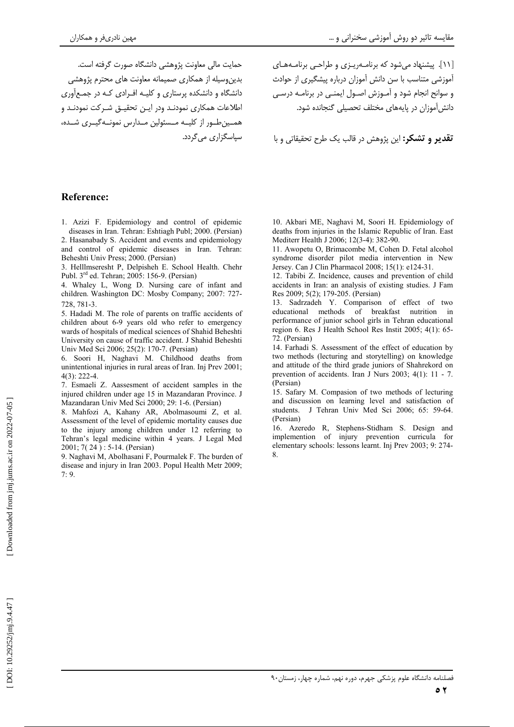حمایت مالی معاونت پژوهشی دانشگاه صورت گرفته است. بدین وسیله از همکاری صمیمانه معاونت های محترم پژوهشی دانشگاه و دانشکده پرستاری و کلیـه افـرادی کـه در جمـع|َوری اطلاعات همكاري نمودنـد ودر ايـن تحقيـق شـركت نمودنـد و همــينطــور از كليــه مــسئولين مــدارس نمونــهگيــرى شــده، سیاسگزاری می گردد. [۱۱]. پیشنهاد می شود که برنامـهریـزی و طراحـی برنامـههـای آموزشی متناسب با سن دانش آموزان درباره پیشگیری از حوادث و سوانح انجام شود و آمـوزش اصـول ايمنـي در برنامـه درسـي دانش آموزان در پایههای مختلف تحصیلی گنجانده شود.

**تقدير و تشكر:** اين پژوهش در قالب يک طرح تحقيقاتي و با

### **Reference:**

1. Azizi F. Epidemiology and control of epidemic diseases in Iran. Tehran: Eshtiagh Publ; 2000. (Persian)

2. Hasanabady S. Accident and events and epidemiology and control of epidemic diseases in Iran. Tehran: Beheshti Univ Press; 2000. (Persian)

3. Helllmseresht P, Delpisheh E. School Health. Chehr Publ. 3<sup>rd</sup> ed. Tehran; 2005: 156-9. (Persian)

4. Whaley L, Wong D. Nursing care of infant and children. Washington DC: Mosby Company; 2007: 727-728, 781-3.

5. Hadadi M. The role of parents on traffic accidents of children about 6-9 years old who refer to emergency wards of hospitals of medical sciences of Shahid Beheshti University on cause of traffic accident. J Shahid Beheshti Univ Med Sci 2006; 25(2): 170-7. (Persian)

6. Soori H, Naghavi M. Childhood deaths from unintentional injuries in rural areas of Iran. Inj Prev 2001;  $4(3) \cdot 222 - 4$ 

7. Esmaeli Z. Aassesment of accident samples in the injured children under age 15 in Mazandaran Province. J Mazandaran Univ Med Sci 2000: 29: 1-6. (Persian)

8. Mahfozi A, Kahany AR, Abolmasoumi Z, et al. Assessment of the level of epidemic mortality causes due to the injury among children under 12 referring to Tehran's legal medicine within 4 years. J Legal Med 2001; 7(24): 5-14. (Persian)

9. Naghavi M, Abolhasani F, Pourmalek F. The burden of disease and injury in Iran 2003. Popul Health Metr 2009;  $7:9.$ 

10. Akbari ME, Naghavi M, Soori H. Epidemiology of deaths from injuries in the Islamic Republic of Iran. East Mediterr Health J 2006; 12(3-4): 382-90.

11. Awopetu O, Brimacombe M, Cohen D. Fetal alcohol syndrome disorder pilot media intervention in New Jersey. Can J Clin Pharmacol 2008; 15(1): e124-31.

12. Tabibi Z. Incidence, causes and prevention of child accidents in Iran: an analysis of existing studies. J Fam Res 2009; 5(2); 179-205. (Persian)

13. Sadrzadeh Y. Comparison of effect of two educational methods of breakfast nutrition in performance of junior school girls in Tehran educational region 6. Res J Health School Res Instit 2005; 4(1): 65-72. (Persian)

14. Farhadi S. Assessment of the effect of education by two methods (lecturing and storytelling) on knowledge and attitude of the third grade juniors of Shahrekord on prevention of accidents. Iran J Nurs 2003;  $4(1)$ : 11 - 7. (Persian)

15. Safary M. Compasion of two methods of lecturing and discussion on learning level and satisfaction of students. J Tehran Univ Med Sci 2006; 65: 59-64. (Persian)

16. Azeredo R, Stephens-Stidham S. Design and implemention of injury prevention curricula for elementary schools: lessons learnt. Inj Prev 2003; 9: 274-8.